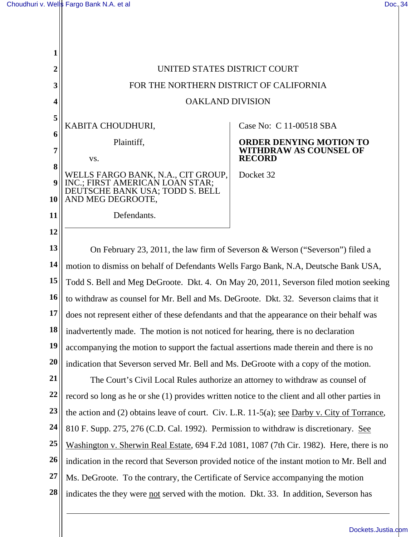

**23**  the action and (2) obtains leave of court. Civ. L.R. 11-5(a); see Darby v. City of Torrance,

**24**  810 F. Supp. 275, 276 (C.D. Cal. 1992). Permission to withdraw is discretionary. See

**25**  Washington v. Sherwin Real Estate, 694 F.2d 1081, 1087 (7th Cir. 1982). Here, there is no

**26**  indication in the record that Severson provided notice of the instant motion to Mr. Bell and

**27**  Ms. DeGroote. To the contrary, the Certificate of Service accompanying the motion

**28**  indicates the they were not served with the motion. Dkt. 33. In addition, Severson has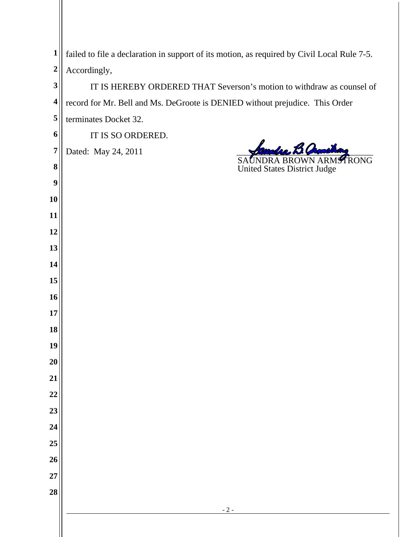| $\mathbf{1}$            | failed to file a declaration in support of its motion, as required by Civil Local Rule 7-5. |
|-------------------------|---------------------------------------------------------------------------------------------|
| $\overline{2}$          | Accordingly,                                                                                |
| 3                       | IT IS HEREBY ORDERED THAT Severson's motion to withdraw as counsel of                       |
| $\overline{\mathbf{4}}$ | record for Mr. Bell and Ms. DeGroote is DENIED without prejudice. This Order                |
| 5                       | terminates Docket 32.                                                                       |
| 6                       | IT IS SO ORDERED.                                                                           |
| $\overline{7}$          | olso Bl<br>Dated: May 24, 2011<br>TRONG<br>SAUNDRA BROWN ARM                                |
| 8                       | <b>United States District Judge</b>                                                         |
| $\boldsymbol{9}$        |                                                                                             |
| 10                      |                                                                                             |
| 11                      |                                                                                             |
| 12                      |                                                                                             |
| 13                      |                                                                                             |
| 14                      |                                                                                             |
| 15                      |                                                                                             |
| 16                      |                                                                                             |
| 17                      |                                                                                             |
| 18                      |                                                                                             |
| 19                      |                                                                                             |
| 20<br>21                |                                                                                             |
| 22                      |                                                                                             |
| 23                      |                                                                                             |
| 24                      |                                                                                             |
| 25                      |                                                                                             |
| 26                      |                                                                                             |
| 27                      |                                                                                             |
| 28                      |                                                                                             |
|                         | $-2-$                                                                                       |
|                         |                                                                                             |
|                         |                                                                                             |